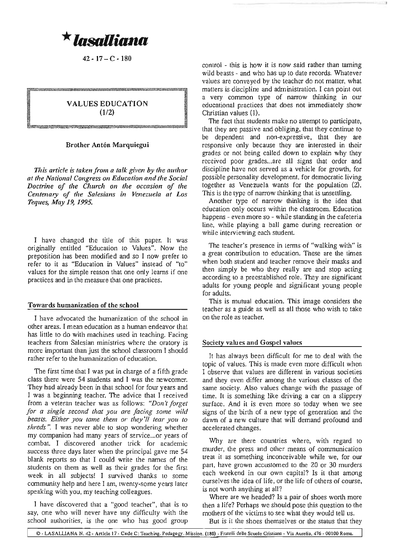**\* lasalliana** 

 $42 - 17 - C - 180$ 

## **VALUES EDUCATION** (1/2)

## Brother Antón Marquiegui

L1':UW:J:m::W\*-~~~w:w.:w:w:,:mw:w:<::W:<l:illW\*tl;lli}lm~~w.w-.w.ffi~w.mw;

*This article is taken from a talk given by the allthor at the National Congress* <sup>011</sup> *Edllcation and the Social Doctrine of the Chllrch* <sup>011</sup> *the occasioll of the Celltellary of the Salesialls ill Venezllela at Los Teqlles, May* 19, 1995.

I have changed the title of this paper. It was originally entitled "Education to Values". Now the preposition has been modified and so 1 now prefer to refer to it as "Education in Values" instead of "to" values for the simple reason that one only learns if one practices and in the measure that one practices.

## Towards humanization of the school

I have advocated the humanization of the school in other areas. I mean education as a human endeavor that has little to do with machines used in teaching. Facing teachers from Salesian ministries where the oratory is more important than just the school classroom I should rather refer to the humanization of education.

The first time that I was put in charge of a fifth grade class there were 54 students and I was the newcomer. They had already been in that school for four years and I was a beginning teacher. The advice that I received from a veteran teacher was as follows: "Don't forget *for a sillgle secolld that yOll are facillg some wild beasts. Either yOIl tame them or they'll tear yOll* to *shreds* ". I was never able to stop wondering whether my companion had many years of service...or years of combat. I discovered another trick for academic success three days later when the principal gave me 54 blank reports so that I could write the names of the students on them as well as their grades for the first week in all subjects! I survived thanks to some community help and here I am, twenty-some years later speaking with you, my teaching colleagues.

I have discovered that a "good teacher", that is to say, one who will never have any difficulty with the school authorities, is the one who has good group control - this is how it is now said rather than taming wild beasts - and who has up to date records. Whatever values are conveyed by the teacher do not matter, what matters is discipline and administration. I can point out a very common type of narrow thinking in our educational practices that does not immediately show Christian values (l),

The fact that students make no attempt to participate, that they are passive and obliging, that they continue to be dependent and non-expressive, that they are responsive only because they are interested in their grades or not being called down to explain why they received poor grades...are all signs that order and discipline have not served as a vehicle for growth, for possible personality development, for democratic living together as Venezuela wants for the population (2). This is the type of narrow thinking that is unsettling.

Another type of narrow thinking is the idea that education only occurs within the classroom. Education happens - even more so - while standing in the cafeteria line, while playing a ball game during recreation or while interviewing each student.

The teacher's presence in terms of "walking with" is a great contribution to education. These are the times when both student and teacher remove their masks and then simply be who they really are and stop acting according to a preestablished role. They are significant adults for young people and significant young people for adults.

This is mutual education. This image considers the teacher as a guide as well as all those who wish to take on the role as teacher.

## Society values and Gospel values

It has always been difficult for me to deal with the topic of values. This is made even more difficult when I observe that values are different in various societies and they even differ among the various classes of the same society. Also values change with the passage of time. It is something like driving a car on a slippery surface. And it is even more so today when we see signs of the birth of a new type of generation and the dawn of a new culture that will demand profound and accelerated changes.

Why are there countries where, with regard to murder, the press and other means of communication treat it as something inconceivable while we, for our part, have grown accustomed to the 20 or 30 murders each weekend in our own capital? Is it that among ourselves the idea of life, or the life of others of course, is not worth anything at all?

Where are we headed? Is a pair of shoes worth more then a life? Perhaps we should pose this question to the mothers of the victims to see what they would tell us. But is it the shoes themselves or the status that they

© - LASALLIANA N. 42 - Article 17 - Code C: Teaching. Pedagogy. Mission. (180) - Fratelli delle Scuole Cristiane - Via Aurelia, 476 - 00100 Roma.